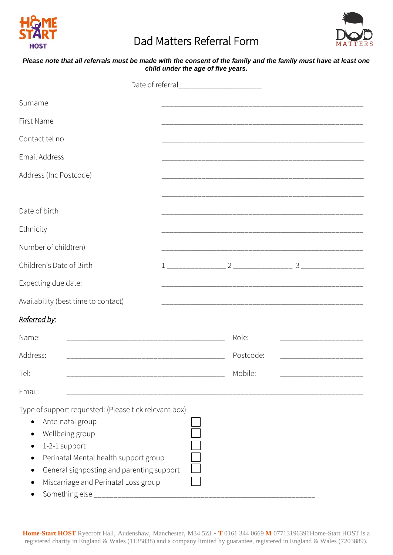

# Dad Matters Referral Form



#### *Please note that all referrals must be made with the consent of the family and the family must have at least one child under the age of five years.*

|                                                                                                                                                                                                                                                               | Date of referral__________________________ |                                                                                                                       |  |
|---------------------------------------------------------------------------------------------------------------------------------------------------------------------------------------------------------------------------------------------------------------|--------------------------------------------|-----------------------------------------------------------------------------------------------------------------------|--|
| Surname                                                                                                                                                                                                                                                       |                                            |                                                                                                                       |  |
| First Name                                                                                                                                                                                                                                                    |                                            | <u> 1989 - Johann John Harry Harry Harry Harry Harry Harry Harry Harry Harry Harry Harry Harry Harry Harry Harry</u>  |  |
| Contact tel no                                                                                                                                                                                                                                                |                                            |                                                                                                                       |  |
| Email Address                                                                                                                                                                                                                                                 |                                            |                                                                                                                       |  |
| Address (Inc Postcode)                                                                                                                                                                                                                                        |                                            |                                                                                                                       |  |
|                                                                                                                                                                                                                                                               |                                            |                                                                                                                       |  |
| Date of birth                                                                                                                                                                                                                                                 |                                            |                                                                                                                       |  |
| Ethnicity                                                                                                                                                                                                                                                     |                                            |                                                                                                                       |  |
| Number of child(ren)                                                                                                                                                                                                                                          |                                            | <u> 1989 - Johann John Harrison, mars and de final and de final and de final and de final and de final and de fin</u> |  |
| Children's Date of Birth                                                                                                                                                                                                                                      |                                            |                                                                                                                       |  |
| Expecting due date:                                                                                                                                                                                                                                           |                                            |                                                                                                                       |  |
| Availability (best time to contact)                                                                                                                                                                                                                           |                                            |                                                                                                                       |  |
| Referred by:                                                                                                                                                                                                                                                  |                                            |                                                                                                                       |  |
| Name:                                                                                                                                                                                                                                                         |                                            | Role:                                                                                                                 |  |
| Address:<br>_____________________________                                                                                                                                                                                                                     |                                            | Postcode:                                                                                                             |  |
| Tel:                                                                                                                                                                                                                                                          |                                            | Mobile:                                                                                                               |  |
| Email:                                                                                                                                                                                                                                                        |                                            |                                                                                                                       |  |
| Type of support requested: (Please tick relevant box)<br>Ante-natal group<br>Wellbeing group<br>1-2-1 support<br>Perinatal Mental health support group<br>General signposting and parenting support<br>Miscarriage and Perinatal Loss group<br>Something else |                                            |                                                                                                                       |  |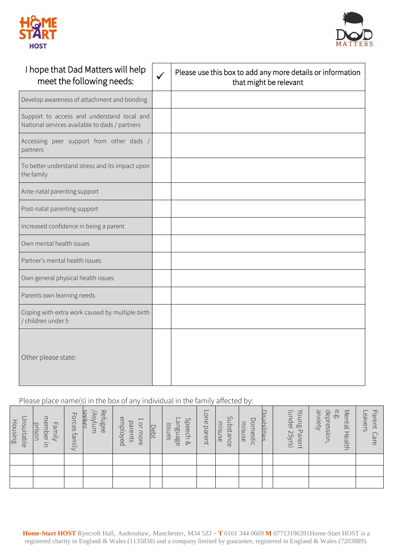



| I hope that Dad Matters will help<br>meet the following needs:                               | $\checkmark$ | Please use this box to add any more details or information<br>that might be relevant |
|----------------------------------------------------------------------------------------------|--------------|--------------------------------------------------------------------------------------|
| Develop awareness of attachment and bonding                                                  |              |                                                                                      |
| Support to access and understand local and<br>National services available to dads / partners |              |                                                                                      |
| Accessing peer support from other dads /<br>partners                                         |              |                                                                                      |
| To better understand stress and its impact upon<br>the family                                |              |                                                                                      |
| Ante-natal parenting support                                                                 |              |                                                                                      |
| Post-natal parenting support                                                                 |              |                                                                                      |
| Increased confidence in being a parent                                                       |              |                                                                                      |
| Own mental health issues                                                                     |              |                                                                                      |
| Partner's mental health issues                                                               |              |                                                                                      |
| Own general physical health issues                                                           |              |                                                                                      |
| Parents own learning needs                                                                   |              |                                                                                      |
| Coping with extra work caused by multiple birth<br>/ children under 5                        |              |                                                                                      |
| Other please state:                                                                          |              |                                                                                      |

## Please place name(s) in the box of any individual in the family affected by:

| Housing<br>nsuitable | member<br>Family<br>prison<br>$\Xi$ | Forces family | Refugee<br>seeker<br>/Asylum | employed<br>$\overline{\phantom{a}}$<br>parents<br>or more | Debt | Speech &<br>anguage<br>ISSUES | one<br>parent | Substance<br>misuse | Domestic<br>misuse | Disabilities | Young Parent<br>(under 25yrs) | anxiety<br>e.<br>Po<br>depression, | Mental Health | ᠊ᠸ<br>eavers<br>arent<br>are. |
|----------------------|-------------------------------------|---------------|------------------------------|------------------------------------------------------------|------|-------------------------------|---------------|---------------------|--------------------|--------------|-------------------------------|------------------------------------|---------------|-------------------------------|
|                      |                                     |               |                              |                                                            |      |                               |               |                     |                    |              |                               |                                    |               |                               |
|                      |                                     |               |                              |                                                            |      |                               |               |                     |                    |              |                               |                                    |               |                               |
|                      |                                     |               |                              |                                                            |      |                               |               |                     |                    |              |                               |                                    |               |                               |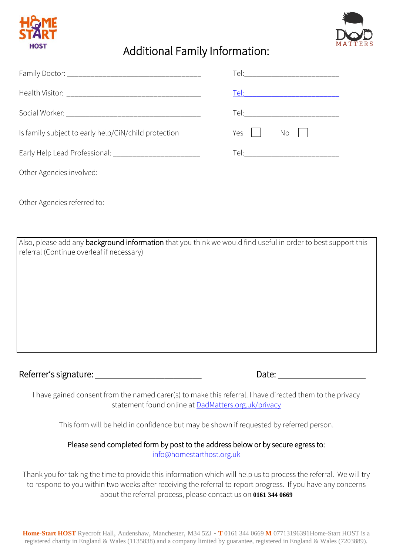



# Additional Family Information:

| Is family subject to early help/CiN/child protection    | Yes $\vert \ \vert$<br>$No$ |
|---------------------------------------------------------|-----------------------------|
| Early Help Lead Professional: _________________________ |                             |
| Other Agencies involved:                                |                             |

Other Agencies referred to:

Also, please add any background information that you think we would find useful in order to best support this referral (Continue overleaf if necessary)

Referrer's signature: \_\_\_\_\_\_\_\_\_\_\_\_\_\_\_\_\_\_\_\_\_\_\_ Date: \_\_\_\_\_\_\_\_\_\_\_\_\_\_\_\_\_\_\_

I have gained consent from the named carer(s) to make this referral. I have directed them to the privacy statement found online at [DadMatters.org.uk/privacy](http://www.dadmatters.org.uk/privacy)

This form will be held in confidence but may be shown if requested by referred person.

## Please send completed form by post to the address below or by secure egress to: [info@homestarthost.org.uk](mailto:info@homestarthost.org.uk)

Thank you for taking the time to provide this information which will help us to process the referral. We will try to respond to you within two weeks after receiving the referral to report progress. If you have any concerns about the referral process, please contact us on **0161 344 0669**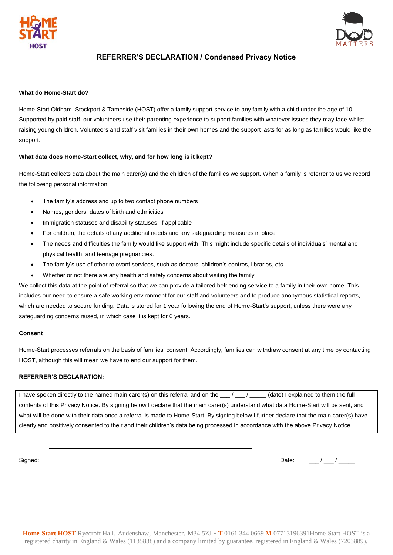



### **REFERRER'S DECLARATION / Condensed Privacy Notice**

#### **What do Home-Start do?**

Home-Start Oldham, Stockport & Tameside (HOST) offer a family support service to any family with a child under the age of 10. Supported by paid staff, our volunteers use their parenting experience to support families with whatever issues they may face whilst raising young children. Volunteers and staff visit families in their own homes and the support lasts for as long as families would like the support.

#### **What data does Home-Start collect, why, and for how long is it kept?**

Home-Start collects data about the main carer(s) and the children of the families we support. When a family is referrer to us we record the following personal information:

- The family's address and up to two contact phone numbers
- Names, genders, dates of birth and ethnicities
- Immigration statuses and disability statuses, if applicable
- For children, the details of any additional needs and any safeguarding measures in place
- The needs and difficulties the family would like support with. This might include specific details of individuals' mental and physical health, and teenage pregnancies.
- The family's use of other relevant services, such as doctors, children's centres, libraries, etc.
- Whether or not there are any health and safety concerns about visiting the family

We collect this data at the point of referral so that we can provide a tailored befriending service to a family in their own home. This includes our need to ensure a safe working environment for our staff and volunteers and to produce anonymous statistical reports, which are needed to secure funding. Data is stored for 1 year following the end of Home-Start's support, unless there were any safeguarding concerns raised, in which case it is kept for 6 years.

#### **Consent**

Home-Start processes referrals on the basis of families' consent. Accordingly, families can withdraw consent at any time by contacting HOST, although this will mean we have to end our support for them.

#### **REFERRER'S DECLARATION:**

I have spoken directly to the named main carer(s) on this referral and on the  $\frac{1}{\sqrt{2}}$  (date) I explained to them the full contents of this Privacy Notice. By signing below I declare that the main carer(s) understand what data Home-Start will be sent, and what will be done with their data once a referral is made to Home-Start. By signing below I further declare that the main carer(s) have clearly and positively consented to their and their children's data being processed in accordance with the above Privacy Notice.

Signed:  $\Box$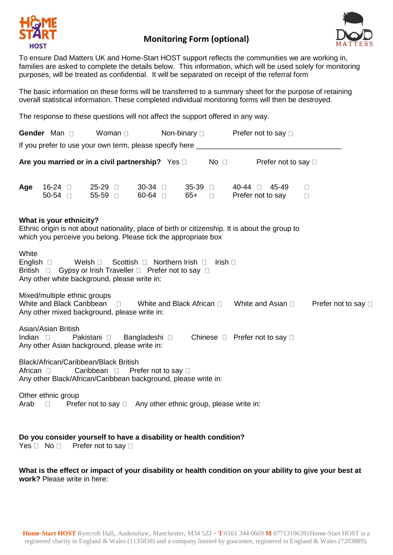

## **Monitoring Form (optional)**



To ensure Dad Matters UK and Home-Start HOST support reflects the communities we are working in, families are asked to complete the details below. This information, which will be used solely for monitoring purposes, will be treated as confidential. It will be separated on receipt of the referral form

The basic information on these forms will be transferred to a summary sheet for the purpose of retaining overall statistical information. These completed individual monitoring forms will then be destroyed.

The response to these questions will not affect the support offered in any way.

|                    | Gender Man D             |                                                                                                                                                                                              |                                                                   | Woman D |                                   |                  | Non-binary □ Prefer not to say □ |               |                           |                  |                     |
|--------------------|--------------------------|----------------------------------------------------------------------------------------------------------------------------------------------------------------------------------------------|-------------------------------------------------------------------|---------|-----------------------------------|------------------|----------------------------------|---------------|---------------------------|------------------|---------------------|
|                    |                          |                                                                                                                                                                                              |                                                                   |         |                                   |                  |                                  |               |                           |                  |                     |
|                    |                          | Are you married or in a civil partnership? Yes $\square$ No $\square$                                                                                                                        |                                                                   |         |                                   |                  |                                  |               | Prefer not to say □       |                  |                     |
| Age                | $16-24$<br>50-54 $\Box$  |                                                                                                                                                                                              | $25-29$<br>55-59 0                                                |         | $30-34$<br>$60-64$                | $35-39$<br>65+ □ |                                  | 40-44 □ 45-49 | Prefer not to say         | $\Box$<br>$\Box$ |                     |
|                    |                          | What is your ethnicity?<br>Ethnic origin is not about nationality, place of birth or citizenship. It is about the group to<br>which you perceive you belong. Please tick the appropriate box |                                                                   |         |                                   |                  |                                  |               |                           |                  |                     |
| White<br>British D | English $\square$        | Gypsy or Irish Traveller □ Prefer not to say □<br>Any other white background, please write in:                                                                                               | Welsh $\square$                                                   |         | Scottish D Northern Irish D       |                  | Irish $\Box$                     |               |                           |                  |                     |
|                    |                          | Mixed/multiple ethnic groups<br>White and Black Caribbean D<br>Any other mixed background, please write in:                                                                                  |                                                                   |         | White and Black African $\square$ |                  |                                  |               | White and Asian $\square$ |                  | Prefer not to say [ |
| Indian $\square$   |                          | Asian/Asian British<br>Any other Asian background, please write in:                                                                                                                          | Pakistani □ Bangladeshi □ Chinese □ Prefer not to say □           |         |                                   |                  |                                  |               |                           |                  |                     |
| African $\square$  |                          | Black/African/Caribbean/Black British<br>Any other Black/African/Caribbean background, please write in:                                                                                      | Caribbean D                                                       |         | Prefer not to say □               |                  |                                  |               |                           |                  |                     |
| Arab               | Other ethnic group<br>П. |                                                                                                                                                                                              | Prefer not to say $\Box$ Any other ethnic group, please write in: |         |                                   |                  |                                  |               |                           |                  |                     |

## **Do you consider yourself to have a disability or health condition?**

Yes  $\Box$  No  $\Box$  Prefer not to say  $\Box$ 

**What is the effect or impact of your disability or health condition on your ability to give your best at work?** Please write in here: